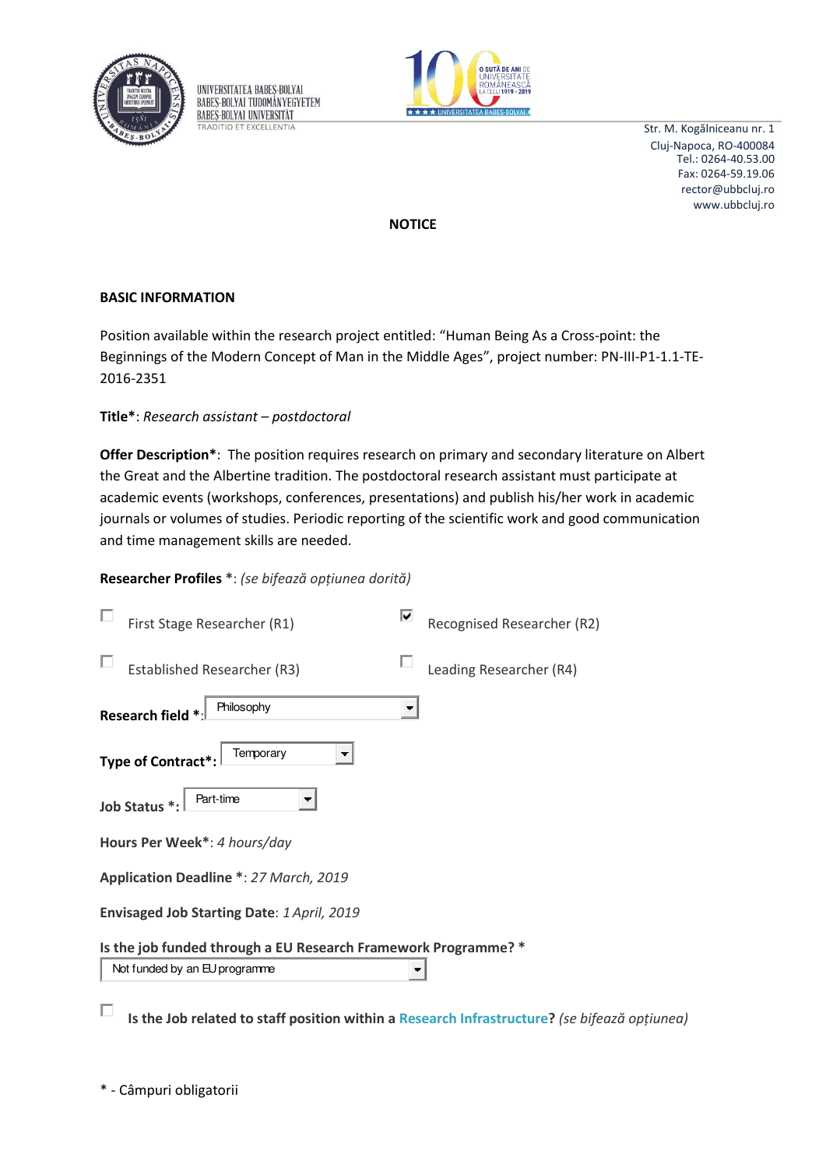

UNIVERSITATEA BABES-BOLYAI BABES-BOLYAL TUDOMÁNYEGYETEM **BABES-BOLYAI UNIVERSITÄT RADITIO ET EXCELLENTIA** 



Str. M. Kogălniceanu nr. 1 Cluj-Napoca, RO-400084 Tel.: 0264-40.53.00 Fax: 0264-59.19.06 rector@ubbcluj.ro www.ubbcluj.ro

**NOTICE** 

## **BASIC INFORMATION**

Position available within the research project entitled: "Human Being As a Cross-point: the Beginnings of the Modern Concept of Man in the Middle Ages", project number: PN-III-P1-1.1-TE-2016-2351

Title\*: Research assistant - postdoctoral

Offer Description\*: The position requires research on primary and secondary literature on Albert the Great and the Albertine tradition. The postdoctoral research assistant must participate at academic events (workshops, conferences, presentations) and publish his/her work in academic journals or volumes of studies. Periodic reporting of the scientific work and good communication and time management skills are needed.

# Researcher Profiles \*: (se bifează opțiunea dorită)

| First Stage Researcher (R1)                                    | M | Recognised Researcher (R2) |
|----------------------------------------------------------------|---|----------------------------|
| <b>Established Researcher (R3)</b>                             |   | Leading Researcher (R4)    |
| Philosophy<br>Research field *                                 |   |                            |
| Temporary<br>Type of Contract*                                 |   |                            |
| Part-time<br>Job Status *:                                     |   |                            |
| Hours Per Week*: 4 hours/day                                   |   |                            |
| Application Deadline *: 27 March, 2019                         |   |                            |
| Envisaged Job Starting Date: 1 April, 2019                     |   |                            |
| Is the job funded through a EU Research Framework Programme? * |   |                            |
| Not funded by an EU programme                                  |   |                            |

П Is the Job related to staff position within a Research Infrastructure? (se bifează optiunea)

\* - Câmpuri obligatorii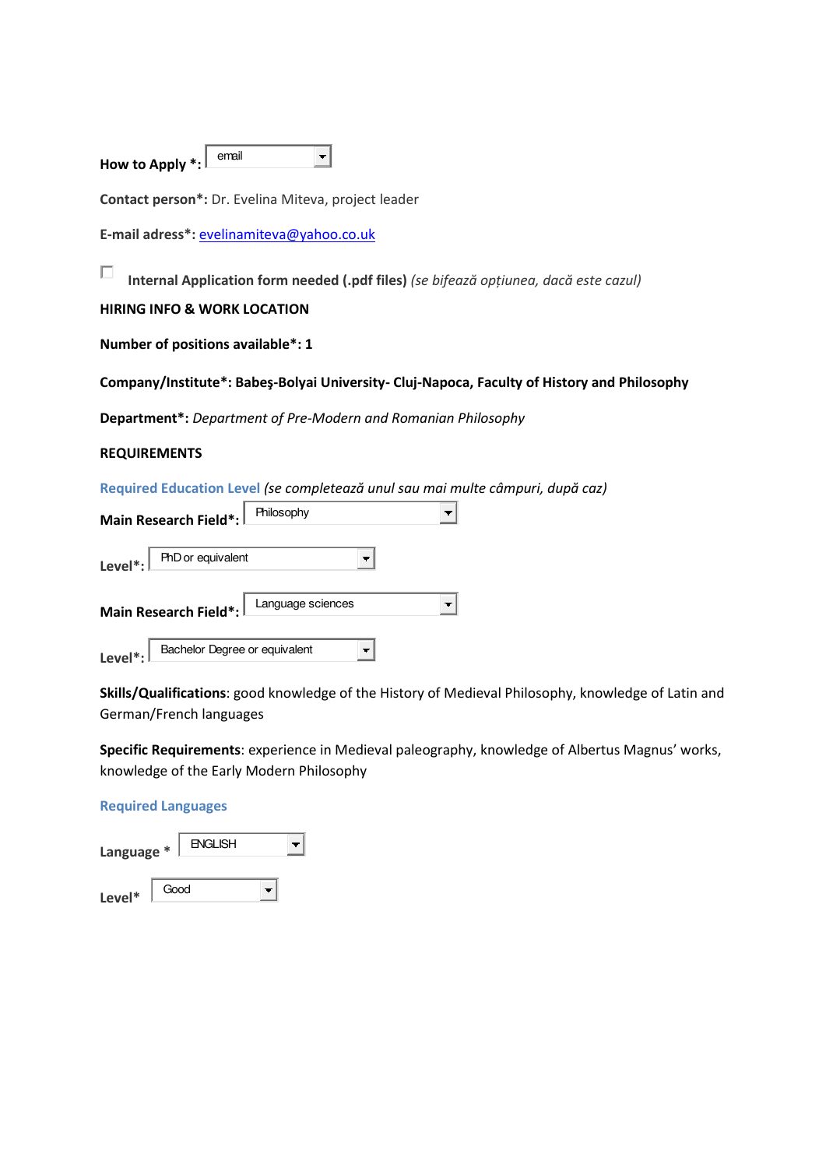| How to Apply $\cdot :$ | email |  |
|------------------------|-------|--|
|                        |       |  |

**Contact person\*:** Dr. Evelina Miteva, project leader

**E-mail adress\*:** [evelinamiteva@yahoo.co.uk](mailto:evelinamiteva@yahoo.co.uk)

П Internal Application form needed (.pdf files) (se bifează opțiunea, dacă este cazul)

### **HIRING INFO & WORK LOCATION**

**Number of positions available\*: 1** 

### **Company/Institute\*: Babeş-Bolyai University- Cluj-Napoca, Faculty of History and Philosophy**

**Department\*:** *Department of Pre-Modern and Romanian Philosophy* 

### **REQUIREMENTS**

Required Education Level *(se completează unul sau mai multe câmpuri, după caz)* 

| Main Research Field*:                                 | Philosophy        |
|-------------------------------------------------------|-------------------|
| Level $^*$ :<br>PhD or equivalent                     |                   |
| Main Research Field*:                                 | Language sciences |
| Bachelor Degree or equivalent<br>Level <sup>*</sup> : |                   |

**Skills/Qualifications**: good knowledge of the History of Medieval Philosophy, knowledge of Latin and German/French languages

**Specific Requirements**: experience in Medieval paleography, knowledge of Albertus Magnus' works, knowledge of the Early Modern Philosophy

#### **Required Languages**

| Language * |      | <b>ENGLISH</b> |  |
|------------|------|----------------|--|
| Level*     | Good |                |  |